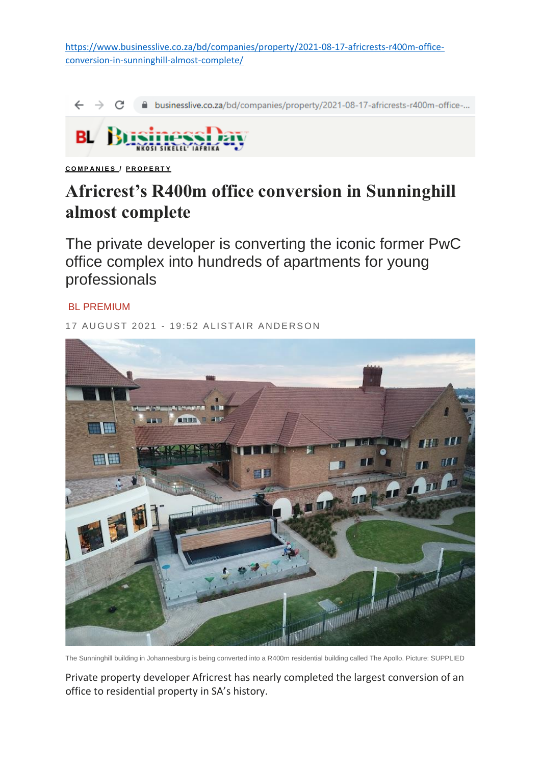[https://www.businesslive.co.za/bd/companies/property/2021-08-17-africrests-r400m-office](https://www.businesslive.co.za/bd/companies/property/2021-08-17-africrests-r400m-office-conversion-in-sunninghill-almost-complete/)[conversion-in-sunninghill-almost-complete/](https://www.businesslive.co.za/bd/companies/property/2021-08-17-africrests-r400m-office-conversion-in-sunninghill-almost-complete/)

A businesslive.co.za/bd/companies/property/2021-08-17-africrests-r400m-office-...



**[C O M P A N I E S](https://www.businesslive.co.za/bd/companies/) / [P R O P E R T Y](https://www.businesslive.co.za/bd/companies/property/)**

## **Africrest's R400m office conversion in Sunninghill almost complete**

The private developer is converting the iconic former PwC office complex into hundreds of apartments for young professionals

## BL PREMIUM

17 AUGUST 2021 - 19:52 ALISTAIR ANDERSON



The Sunninghill building in Johannesburg is being converted into a R400m residential building called The Apollo. Picture: SUPPLIED

Private property developer Africrest has nearly completed the largest conversion of an office to residential property in SA's history.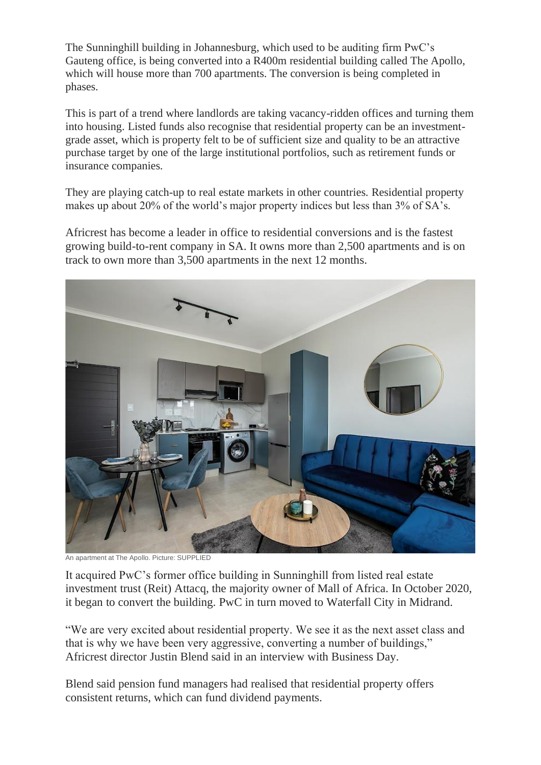The Sunninghill building in Johannesburg, which used to be auditing firm PwC's Gauteng office, is being converted into a R400m residential building called The Apollo, which will house more than 700 apartments. The conversion is being completed in phases.

This is part of a trend where landlords are taking vacancy-ridden offices and turning them into housing. Listed funds also recognise that residential property can be an investmentgrade asset, which is property felt to be of sufficient size and quality to be an attractive purchase target by one of the large institutional portfolios, such as retirement funds or insurance companies.

They are playing catch-up to real estate markets in other countries. Residential property makes up about 20% of the world's major property indices but less than 3% of SA's.

Africrest has become a leader in office to residential conversions and is the fastest growing build-to-rent company in SA. It owns more than 2,500 apartments and is on track to own more than 3,500 apartments in the next 12 months.



An apartment at The Apollo. Picture: SUPPLIED

It acquired PwC's former office building in Sunninghill from listed real estate investment trust (Reit) Attacq, the majority owner of Mall of Africa. In October 2020, it began to convert the building. PwC in turn moved to Waterfall City in Midrand.

"We are very excited about residential property. We see it as the next asset class and that is why we have been very aggressive, converting a number of buildings," Africrest director Justin Blend said in an interview with Business Day.

Blend said pension fund managers had realised that residential property offers consistent returns, which can fund dividend payments.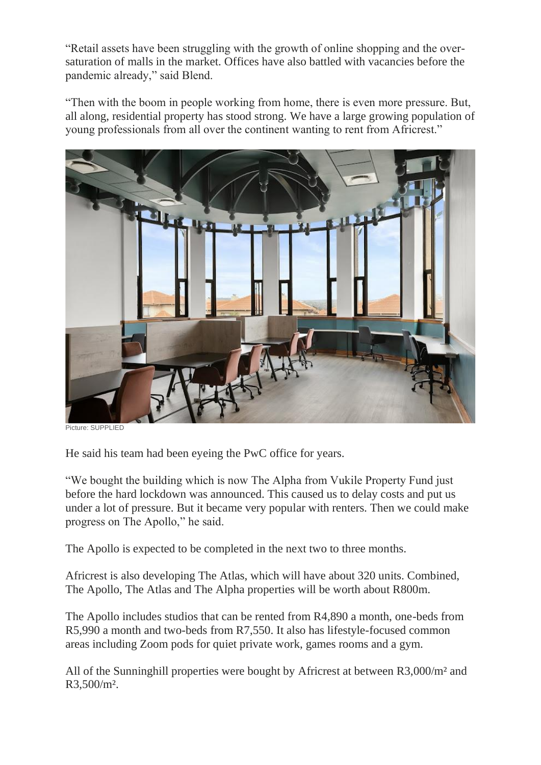"Retail assets have been struggling with the growth of online shopping and the oversaturation of malls in the market. Offices have also battled with vacancies before the pandemic already," said Blend.

"Then with the boom in people working from home, there is even more pressure. But, all along, residential property has stood strong. We have a large growing population of young professionals from all over the continent wanting to rent from Africrest."



Picture: SUPPLIED

He said his team had been eyeing the PwC office for years.

"We bought the building which is now The Alpha from Vukile Property Fund just before the hard lockdown was announced. This caused us to delay costs and put us under a lot of pressure. But it became very popular with renters. Then we could make progress on The Apollo," he said.

The Apollo is expected to be completed in the next two to three months.

Africrest is also developing The Atlas, which will have about 320 units. Combined, The Apollo, The Atlas and The Alpha properties will be worth about R800m.

The Apollo includes studios that can be rented from R4,890 a month, one-beds from R5,990 a month and two-beds from R7,550. It also has lifestyle-focused common areas including Zoom pods for quiet private work, games rooms and a gym.

All of the Sunninghill properties were bought by Africrest at between R3,000/m² and R3,500/m².